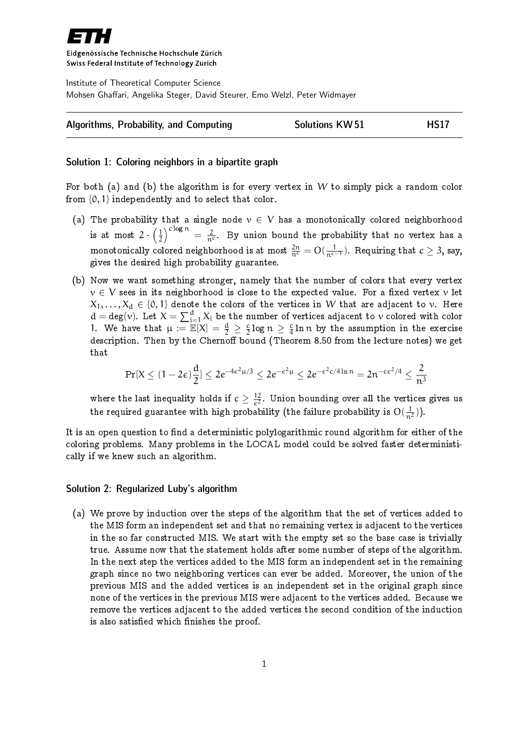

Eidgenössische Technische Hochschule Zürich Swiss Federal Institute of Technology Zurich

Institute of Theoretical Computer Science Mohsen Ghaffari, Angelika Steger, David Steurer, Emo Welzl, Peter Widmayer



## Solution 1: Coloring neighbors in a bipartite graph

For both (a) and (b) the algorithm is for every vertex in W to simply pick a random color from  $\{0, 1\}$  independently and to select that color.

- (a) The probability that a single node  $v \in V$  has a monotonically colored neighborhood is at most  $2 \cdot \left(\frac{1}{2}\right)$  $\frac{1}{2} \bigg)^{c \log n} = \frac{2}{n^c}$ . By union bound the probability that no vertex has a monotonically colored neighborhood is at most  $\frac{2n}{n^c} = O(\frac{1}{n^{c-1}}).$  Requiring that  $c \geq 3,$  say, gives the desired high probability guarantee.
- (b) Now we want something stronger, namely that the number of colors that every vertex  $v \in V$  sees in its neighborhood is close to the expected value. For a fixed vertex v let  $X_1, \ldots, X_d \in \{0, 1\}$  denote the colors of the vertices in W that are adjacent to v. Here  $d = deg(v)$ . Let  $X = \sum_{i=1}^{d} X_i$  be the number of vertices adjacent to v colored with color 1. We have that  $\mu := \mathbb{E}[X] = \frac{d}{2} \geq \frac{c}{2}$  $\frac{c}{2} \log n \geq \frac{c}{4}$  $\frac{c}{4}$  ln  $\mathfrak n$  by the assumption in the exercise description. Then by the Chernoff bound (Theorem 8.50 from the lecture notes) we get that

$$
\Pr[X \leq (1-2\varepsilon)\frac{d}{2}] \leq 2e^{-4\varepsilon^2\mu/3} \leq 2e^{-\varepsilon^2\mu} \leq 2e^{-\varepsilon^2c/4\ln n} = 2n^{-c\varepsilon^2/4} \leq \frac{2}{n^3}
$$

where the last inequality holds if  $c \geq \frac{12}{c^2}$  $\frac{12}{\epsilon^2}$ . Union bounding over all the vertices gives us the required guarantee with high probability (the failure probability is  $\mathrm{O}(\frac{1}{n^2})$ ).

It is an open question to find a deterministic polylogarithmic round algorithm for either of the coloring problems. Many problems in the LOCAL model could be solved faster deterministically if we knew such an algorithm.

## Solution 2: Regularized Luby's algorithm

(a) We prove by induction over the steps of the algorithm that the set of vertices added to the MIS form an independent set and that no remaining vertex is adjacent to the vertices in the so far constructed MIS. We start with the empty set so the base case is trivially true. Assume now that the statement holds after some number of steps of the algorithm. In the next step the vertices added to the MIS form an independent set in the remaining graph since no two neighboring vertices can ever be added. Moreover, the union of the previous MIS and the added vertices is an independent set in the original graph since none of the vertices in the previous MIS were adjacent to the vertices added. Because we remove the vertices adjacent to the added vertices the second condition of the induction is also satisfied which finishes the proof.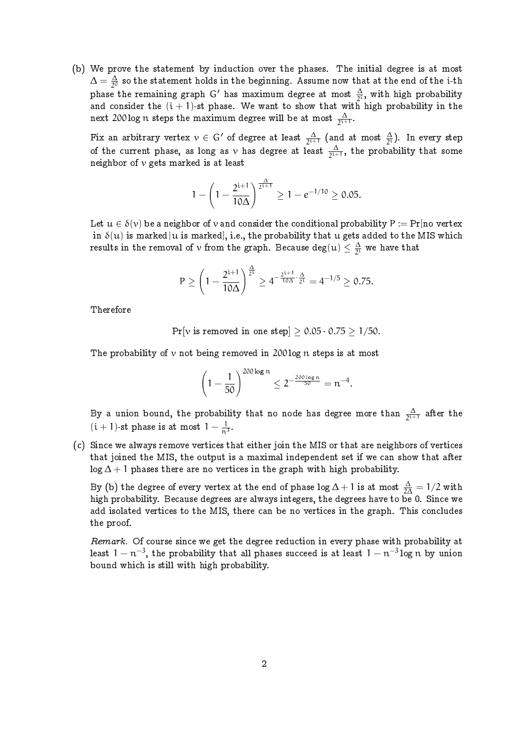(b) We prove the statement by induction over the phases. The initial degree is at most  $\Delta = \frac{\Delta}{20}$  $\frac{\Delta}{2^0}$  so the statement holds in the beginning. Assume now that at the end of the i-th phase the remaining graph G' has maximum degree at most  $\frac{\Delta}{2^i}$ , with high probability and consider the  $(i + 1)$ -st phase. We want to show that with high probability in the next 200 log  $\frak n$  steps the maximum degree will be at most  $\frac{\Delta}{2^{1+1}}.$ 

Fix an arbitrary vertex  $v \in G'$  of degree at least  $\frac{\Delta}{2^{i+1}}$  (and at most  $\frac{\Delta}{2^{i}}$ ). In every step of the current phase, as long as  $\nu$  has degree at least  $\frac{\Delta}{2^{i+1}}$ , the probability that some neighbor of  $\nu$  gets marked is at least

$$
1 - \left(1 - \frac{2^{i+1}}{10\Delta}\right)^{\frac{\Delta}{2^{i+1}}} \ge 1 - e^{-1/10} \ge 0.05.
$$

Let  $u \in \delta(v)$  be a neighbor of v and consider the conditional probability  $P := Pr$ [no vertex in  $\delta(u)$  is marked|u is marked], i.e., the probability that u gets added to the MIS which results in the removal of  $\nu$  from the graph. Because  $\deg(u)\leq \frac{\Delta}{2^i}$  $\frac{\Delta}{2^i}$  we have that

$$
P \ge \left(1-\frac{2^{i+1}}{10\Delta}\right)^{\frac{\Delta}{2^i}} \ge 4^{-\frac{2^{i+1}}{10\Delta}\cdot\frac{\Delta}{2^i}} = 4^{-1/5} \ge 0.75.
$$

Therefore

Pr[v is removed in one step]  $\geq 0.05 \cdot 0.75 \geq 1/50$ .

The probability of  $\nu$  not being removed in 200 log n steps is at most

$$
\left(1-\frac{1}{50}\right)^{200\log n} \leq 2^{-\frac{200\log n}{50}} = n^{-4}.
$$

By a union bound, the probability that no node has degree more than  $\frac{\Delta}{2^{i+1}}$  after the  $(i + 1)$ -st phase is at most  $1 - \frac{1}{n^3}$ .

(c) Since we always remove vertices that either join the MIS or that are neighbors of vertices that joined the MIS, the output is a maximal independent set if we can show that after log  $\Delta + 1$  phases there are no vertices in the graph with high probability.

By (b) the degree of every vertex at the end of phase log  $\Delta+1$  is at most  $\frac{\Delta}{2\Delta}=1/2$  with high probability. Because degrees are always integers, the degrees have to be 0. Since we add isolated vertices to the MIS, there can be no vertices in the graph. This concludes the proof.

Remark. Of course since we get the degree reduction in every phase with probability at least  $1-\mathfrak{n}^{-3},$  the probability that all phases succeed is at least  $1-\mathfrak{n}^{-3}\log n$  by union bound which is still with high probability.